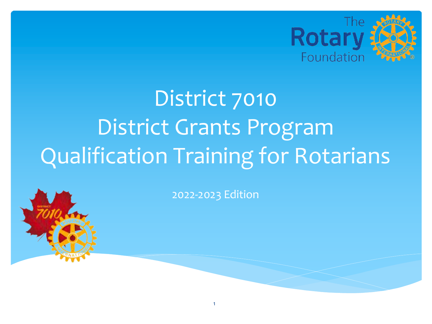

# District 7010 District Grants Program Qualification Training for Rotarians

2022-2023 Edition

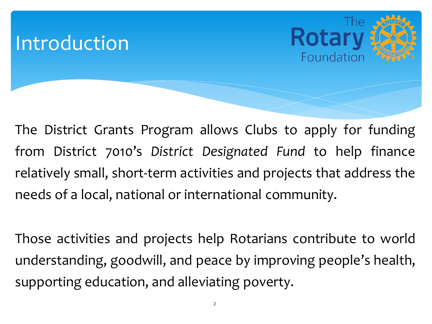#### **Introduction**



The District Grants Program allows Clubs to apply for funding from District 7010's *District Designated Fund* to help finance relatively small, short-term activities and projects that address the needs of a local, national or international community.

Those activities and projects help Rotarians contribute to world understanding, goodwill, and peace by improving people's health, supporting education, and alleviating poverty.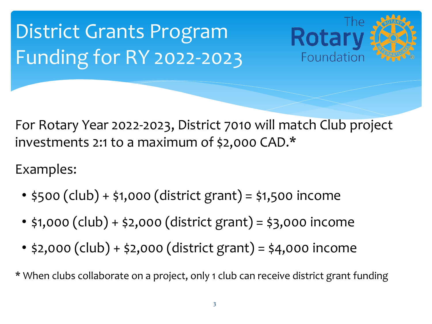## District Grants Program Funding for RY 2022-2023

Rotal Foundation

For Rotary Year 2022-2023, District 7010 will match Club project investments 2:1 to a maximum of \$2,000 CAD.\*

Examples:

- $$500$  (club) +  $$1,000$  (district grant) =  $$1,500$  income
- \$1,000 (club) + \$2,000 (district grant) = \$3,000 income
- \$2,000 (club) + \$2,000 (district grant) = \$4,000 income

\* When clubs collaborate on a project, only 1 club can receive district grant funding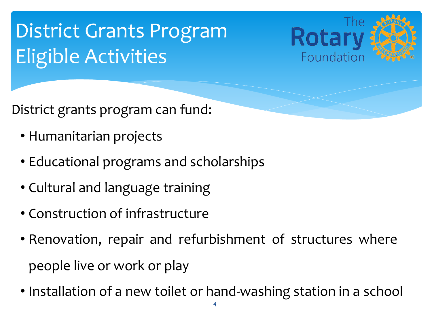## District Grants Program Eligible Activities



District grants program can fund:

- Humanitarian projects
- Educational programs and scholarships
- Cultural and language training
- Construction of infrastructure
- Renovation, repair and refurbishment of structures where people live or work or play
- Installation of a new toilet or hand-washing station in a school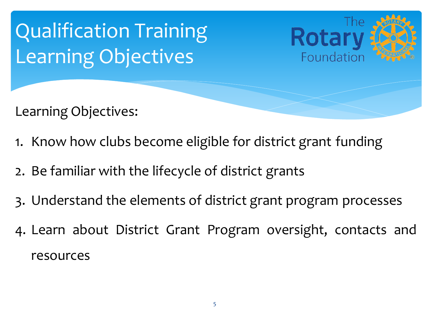

- 1. Know how clubs become eligible for district grant funding
- 2. Be familiar with the lifecycle of district grants
- 3. Understand the elements of district grant program processes
- 4. Learn about District Grant Program oversight, contacts and resources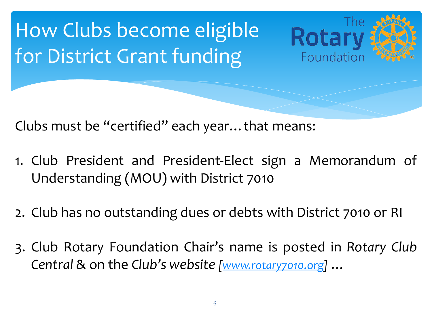## How Clubs become eligible for District Grant funding

Clubs must be "certified" each ye[ar…that](http://www.rotary7010.org/) means:

1. Club President and President-Elect sign a Memoran Understanding (MOU) with District 7010

The:

Rotar

Foundation

- 2. Club has no outstanding dues or debts with District 7010
- 3. Club Rotary Foundation Chair's name is posted in Rot *Central* & on the *Club's website [www.rotary7010.org] …*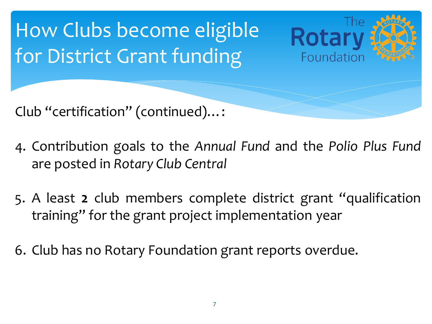

- 4. Contribution goals to the *Annual Fund* and the *Polio Plus Fund* are posted in *Rotary Club Central*
- 5. A least **2** club members complete district grant "qualification training" for the grant project implementation year
- 6. Club has no Rotary Foundation grant reports overdue.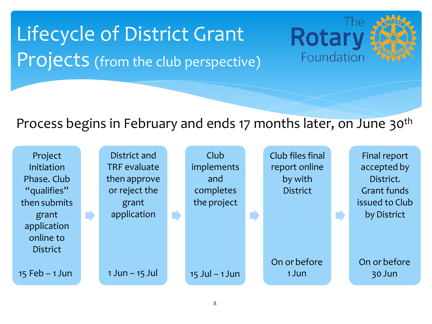

Lifecycle of District Grant Projects (from the club perspective)

#### Process begins in February and ends 17 months later, on June 30th

Rotary

Foundation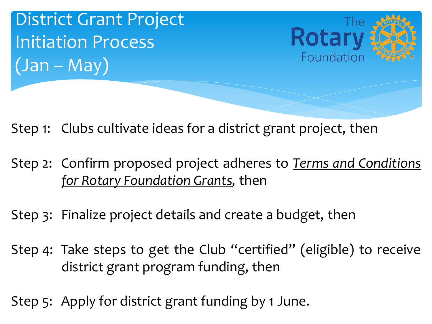



Step 1: Clubs cultivate ideas for a district grant project, the

Step 2: Confirm proposed project adheres to **Terms** and C *for Rotary Foundation Grants,* then

Step 3: Finalize project details and create a budget, then

- Step 4: Take steps to get the Club "certified" (eligible) to district grant program funding, then
- Step 5: Apply for district grant funding by 1 June.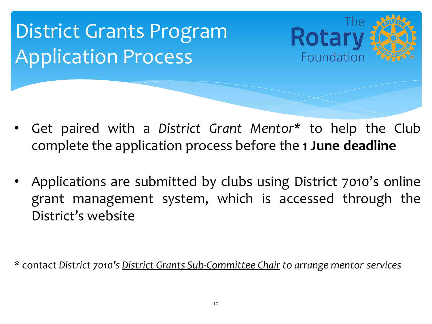## District Grants Program Application Process



- Get paired with a District Grant Mentor\* to help complete the application process before the 1 June dea
- Applications are submitted by clubs using District 7010 grant management system, which is accessed through District's website

\* contact *District 7010's District Grants Sub-Committee Chair to arrange mentor services*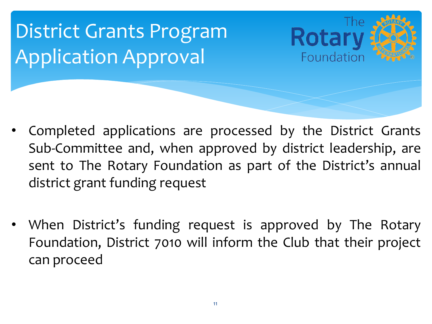

- Completed applications are processed by the District Grants Sub-Committee and, when approved by district leadership, are sent to The Rotary Foundation as part of the District's annual district grant funding request
- When District's funding request is approved by The Rotary Foundation, District 7010 will inform the Club that their project can proceed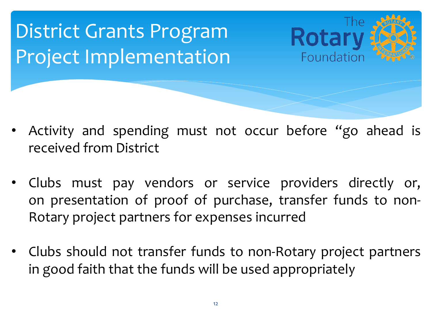

- Activity and spending must not occur before "go ahead is received from District
- Clubs must pay vendors or service providers directly or, on presentation of proof of purchase, transfer funds to non-Rotary project partners for expenses incurred
- Clubs should not transfer funds to non-Rotary project partners in good faith that the funds will be used appropriately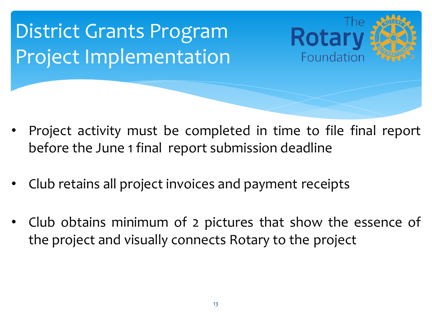

- Project activity must be completed in time to file final report before the June 1 final report submission deadline
- Club retains all project invoices and payment receipts
- Club obtains minimum of 2 pictures that show the essence of the project and visually connects Rotary to the project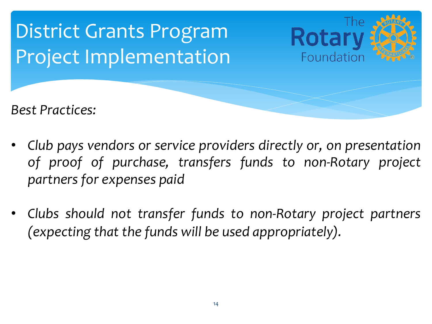

- *Club pays vendors or service providers directly or, on presentation of proof of purchase, transfers funds to non-Rotary project partners for expenses paid*
- *Clubs should not transfer funds to non-Rotary project partners (expecting that the funds will be used appropriately).*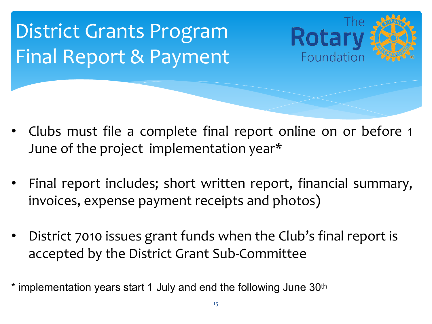



- Clubs must file a complete final report online on or before 1 June of the project implementation year\*
- Final report includes; short written report, financial summary, invoices, expense payment receipts and photos)
- District 7010 issues grant funds when the Club's final report is accepted by the District Grant Sub-Committee
- \* implementation years start 1 July and end the following June 30<sup>th</sup>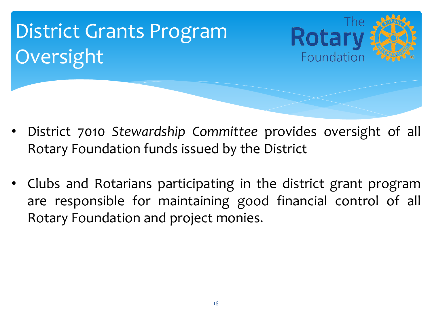# District Grants Program **Rotar** Oversight Foundation

- District 7010 *Stewardship Committee* provides oversight of all Rotary Foundation funds issued by the District
- Clubs and Rotarians participating in the district grant program are responsible for maintaining good financial control of all Rotary Foundation and project monies.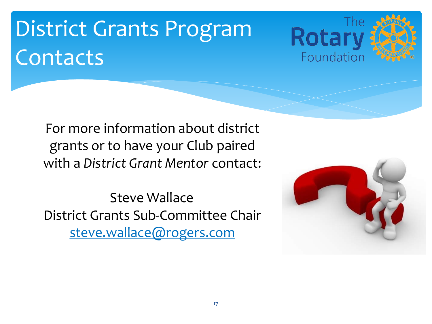## District Grants Program Contacts

The: **Rotar** Foundation

For more information about district grants or to have your Club paired with a *District Grant Mentor* contact:

Steve Wallace District Grants Sub-Committee Chair steve.wallace@rogers.com

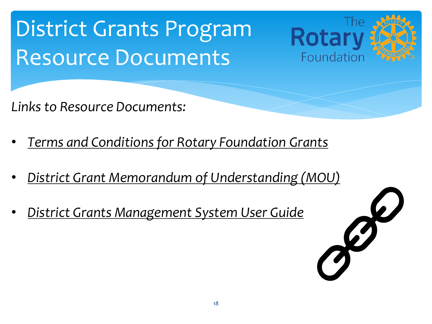## [District Grants Program](https://form.jotform.com/ridistrict7010/MOU)  Resource [Documents](https://rotary7010.org/documents/en-ca/aa5cc926-672f-48ac-8e4d-0b91e12e9e3e/1)

*Links to Resource Documents:*

- *Terms and Conditions for Rotary Foundation Grants*
- *District Grant Memorandum of Understanding (MOU)*
- *District Grants Management System User Guide*



Rotal

Foundation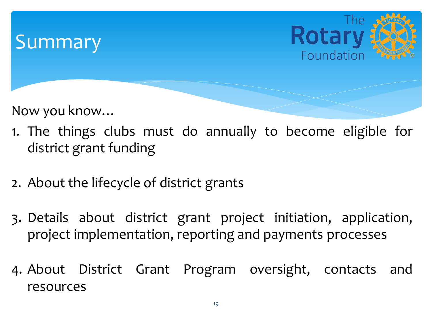#### **Summary**



Now you know…

- 1. The things clubs must do annually to become eligible for district grant funding
- 2. About the lifecycle of district grants
- 3. Details about district grant project initiation, application, project implementation, reporting and payments processes
- 4. About District Grant Program oversight, contacts and resources